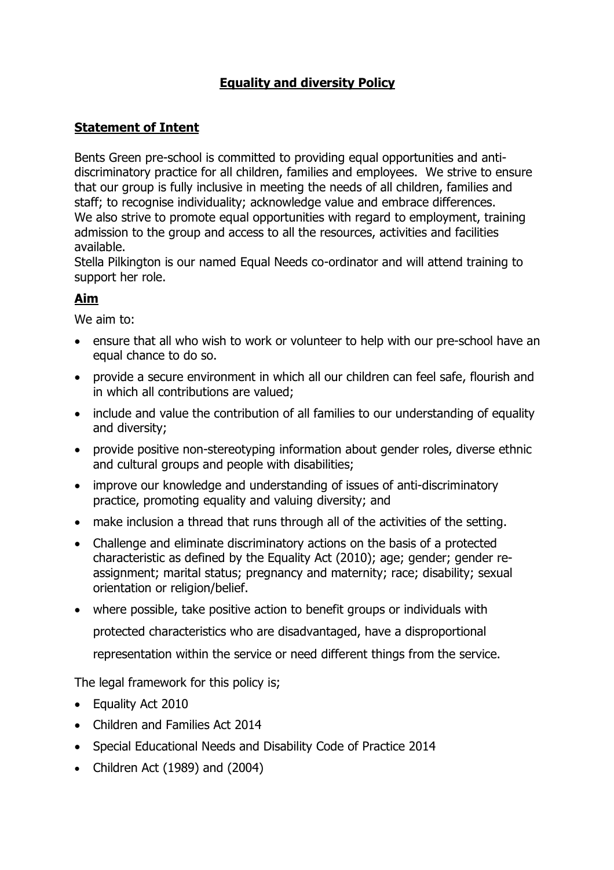## **Equality and diversity Policy**

## **Statement of Intent**

Bents Green pre-school is committed to providing equal opportunities and antidiscriminatory practice for all children, families and employees. We strive to ensure that our group is fully inclusive in meeting the needs of all children, families and staff; to recognise individuality; acknowledge value and embrace differences. We also strive to promote equal opportunities with regard to employment, training admission to the group and access to all the resources, activities and facilities available.

Stella Pilkington is our named Equal Needs co-ordinator and will attend training to support her role.

### **Aim**

We aim to:

- ensure that all who wish to work or volunteer to help with our pre-school have an equal chance to do so.
- provide a secure environment in which all our children can feel safe, flourish and in which all contributions are valued;
- include and value the contribution of all families to our understanding of equality and diversity;
- provide positive non-stereotyping information about gender roles, diverse ethnic and cultural groups and people with disabilities;
- improve our knowledge and understanding of issues of anti-discriminatory practice, promoting equality and valuing diversity; and
- make inclusion a thread that runs through all of the activities of the setting.
- Challenge and eliminate discriminatory actions on the basis of a protected characteristic as defined by the Equality Act (2010); age; gender; gender reassignment; marital status; pregnancy and maternity; race; disability; sexual orientation or religion/belief.
- where possible, take positive action to benefit groups or individuals with protected characteristics who are disadvantaged, have a disproportional representation within the service or need different things from the service.

The legal framework for this policy is;

- Equality Act 2010
- Children and Families Act 2014
- Special Educational Needs and Disability Code of Practice 2014
- Children Act (1989) and (2004)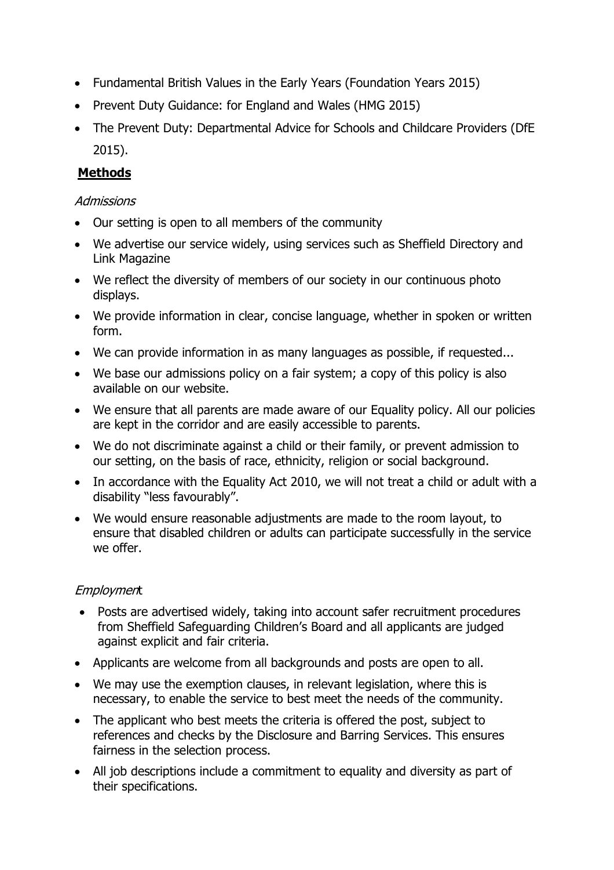- Fundamental British Values in the Early Years (Foundation Years 2015)
- Prevent Duty Guidance: for England and Wales (HMG 2015)
- The Prevent Duty: Departmental Advice for Schools and Childcare Providers (DfE 2015).

# **Methods**

#### **Admissions**

- Our setting is open to all members of the community
- We advertise our service widely, using services such as Sheffield Directory and Link Magazine
- We reflect the diversity of members of our society in our continuous photo displays.
- We provide information in clear, concise language, whether in spoken or written form.
- We can provide information in as many languages as possible, if requested...
- We base our admissions policy on a fair system; a copy of this policy is also available on our website.
- We ensure that all parents are made aware of our Equality policy. All our policies are kept in the corridor and are easily accessible to parents.
- We do not discriminate against a child or their family, or prevent admission to our setting, on the basis of race, ethnicity, religion or social background.
- In accordance with the Equality Act 2010, we will not treat a child or adult with a disability "less favourably".
- We would ensure reasonable adjustments are made to the room layout, to ensure that disabled children or adults can participate successfully in the service we offer.

## **Employment**

- Posts are advertised widely, taking into account safer recruitment procedures from Sheffield Safeguarding Children's Board and all applicants are judged against explicit and fair criteria.
- Applicants are welcome from all backgrounds and posts are open to all.
- We may use the exemption clauses, in relevant legislation, where this is necessary, to enable the service to best meet the needs of the community.
- The applicant who best meets the criteria is offered the post, subject to references and checks by the Disclosure and Barring Services. This ensures fairness in the selection process.
- All job descriptions include a commitment to equality and diversity as part of their specifications.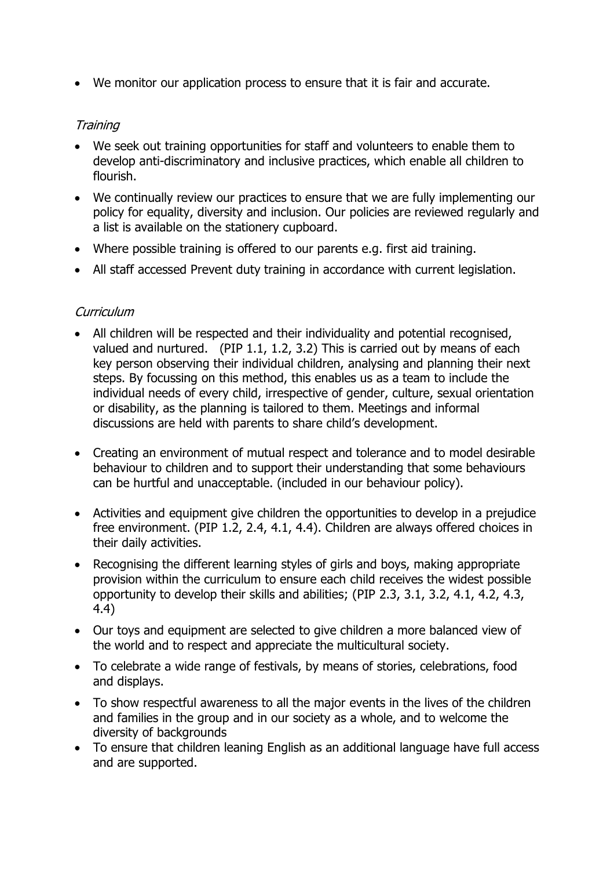• We monitor our application process to ensure that it is fair and accurate.

### **Training**

- We seek out training opportunities for staff and volunteers to enable them to develop anti-discriminatory and inclusive practices, which enable all children to flourish.
- We continually review our practices to ensure that we are fully implementing our policy for equality, diversity and inclusion. Our policies are reviewed regularly and a list is available on the stationery cupboard.
- Where possible training is offered to our parents e.g. first aid training.
- All staff accessed Prevent duty training in accordance with current legislation.

#### **Curriculum**

- All children will be respected and their individuality and potential recognised, valued and nurtured. (PIP 1.1, 1.2, 3.2) This is carried out by means of each key person observing their individual children, analysing and planning their next steps. By focussing on this method, this enables us as a team to include the individual needs of every child, irrespective of gender, culture, sexual orientation or disability, as the planning is tailored to them. Meetings and informal discussions are held with parents to share child's development.
- Creating an environment of mutual respect and tolerance and to model desirable behaviour to children and to support their understanding that some behaviours can be hurtful and unacceptable. (included in our behaviour policy).
- Activities and equipment give children the opportunities to develop in a prejudice free environment. (PIP 1.2, 2.4, 4.1, 4.4). Children are always offered choices in their daily activities.
- Recognising the different learning styles of girls and boys, making appropriate provision within the curriculum to ensure each child receives the widest possible opportunity to develop their skills and abilities; (PIP 2.3, 3.1, 3.2, 4.1, 4.2, 4.3, 4.4)
- Our toys and equipment are selected to give children a more balanced view of the world and to respect and appreciate the multicultural society.
- To celebrate a wide range of festivals, by means of stories, celebrations, food and displays.
- To show respectful awareness to all the major events in the lives of the children and families in the group and in our society as a whole, and to welcome the diversity of backgrounds
- To ensure that children leaning English as an additional language have full access and are supported.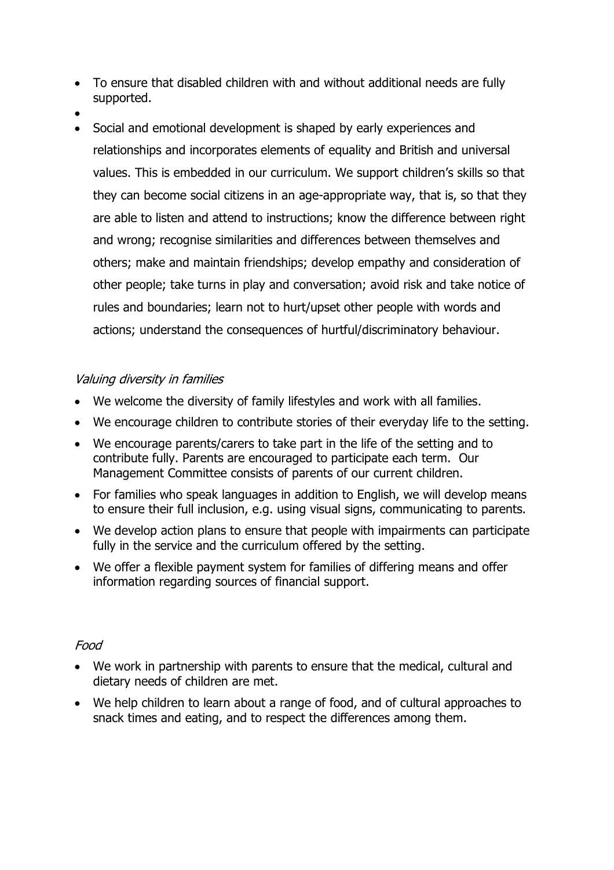- To ensure that disabled children with and without additional needs are fully supported.
- •
- Social and emotional development is shaped by early experiences and relationships and incorporates elements of equality and British and universal values. This is embedded in our curriculum. We support children's skills so that they can become social citizens in an age-appropriate way, that is, so that they are able to listen and attend to instructions; know the difference between right and wrong; recognise similarities and differences between themselves and others; make and maintain friendships; develop empathy and consideration of other people; take turns in play and conversation; avoid risk and take notice of rules and boundaries; learn not to hurt/upset other people with words and actions; understand the consequences of hurtful/discriminatory behaviour.

### Valuing diversity in families

- We welcome the diversity of family lifestyles and work with all families.
- We encourage children to contribute stories of their everyday life to the setting.
- We encourage parents/carers to take part in the life of the setting and to contribute fully. Parents are encouraged to participate each term. Our Management Committee consists of parents of our current children.
- For families who speak languages in addition to English, we will develop means to ensure their full inclusion, e.g. using visual signs, communicating to parents.
- We develop action plans to ensure that people with impairments can participate fully in the service and the curriculum offered by the setting.
- We offer a flexible payment system for families of differing means and offer information regarding sources of financial support.

#### Food

- We work in partnership with parents to ensure that the medical, cultural and dietary needs of children are met.
- We help children to learn about a range of food, and of cultural approaches to snack times and eating, and to respect the differences among them.